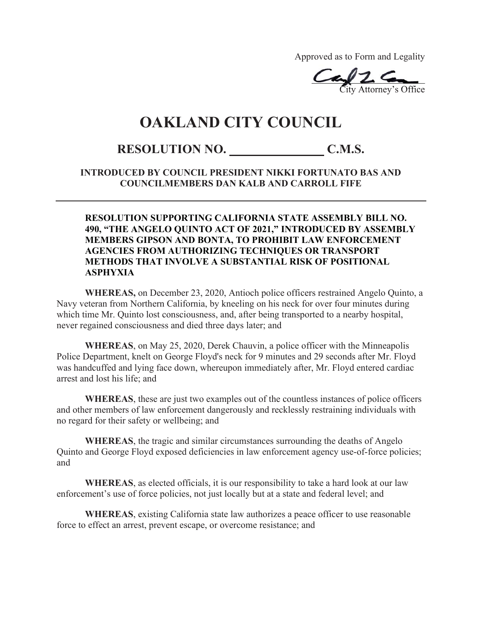Approved as to Form and Legality

 $\epsilon$ City Attorney's Office  $\alpha$ City Attorney's

## **OAKLAND CITY COUNCIL**

## **RESOLUTION NO. \_\_\_\_\_\_\_\_\_\_\_\_\_\_\_ C.M.S.**

## **INTRODUCED BY COUNCIL PRESIDENT NIKKI FORTUNATO BAS AND COUNCILMEMBERS DAN KALB AND CARROLL FIFE**

## **RESOLUTION SUPPORTING CALIFORNIA STATE ASSEMBLY BILL NO. 490, "THE ANGELO QUINTO ACT OF 2021," INTRODUCED BY ASSEMBLY MEMBERS GIPSON AND BONTA, TO PROHIBIT LAW ENFORCEMENT AGENCIES FROM AUTHORIZING TECHNIQUES OR TRANSPORT METHODS THAT INVOLVE A SUBSTANTIAL RISK OF POSITIONAL ASPHYXIA**

**WHEREAS,** on December 23, 2020, Antioch police officers restrained Angelo Quinto, a Navy veteran from Northern California, by kneeling on his neck for over four minutes during which time Mr. Quinto lost consciousness, and, after being transported to a nearby hospital, never regained consciousness and died three days later; and

**WHEREAS**, on May 25, 2020, Derek Chauvin, a police officer with the Minneapolis Police Department, knelt on George Floyd's neck for 9 minutes and 29 seconds after Mr. Floyd was handcuffed and lying face down, whereupon immediately after, Mr. Floyd entered cardiac arrest and lost his life; and

**WHEREAS**, these are just two examples out of the countless instances of police officers and other members of law enforcement dangerously and recklessly restraining individuals with no regard for their safety or wellbeing; and

**WHEREAS**, the tragic and similar circumstances surrounding the deaths of Angelo Quinto and George Floyd exposed deficiencies in law enforcement agency use-of-force policies; and

**WHEREAS**, as elected officials, it is our responsibility to take a hard look at our law enforcement's use of force policies, not just locally but at a state and federal level; and

**WHEREAS**, existing California state law authorizes a peace officer to use reasonable force to effect an arrest, prevent escape, or overcome resistance; and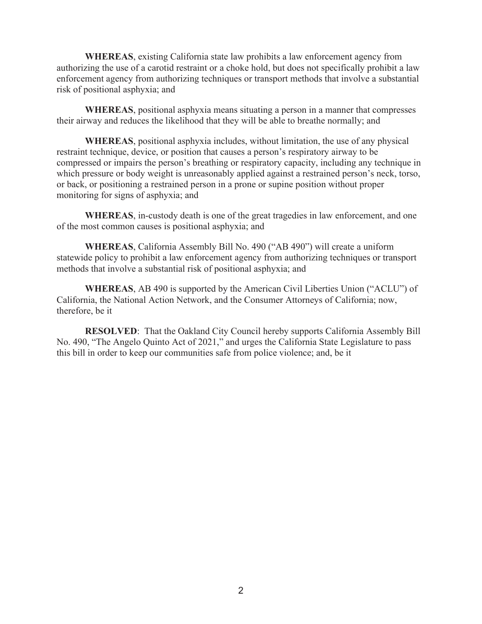**WHEREAS**, existing California state law prohibits a law enforcement agency from authorizing the use of a carotid restraint or a choke hold, but does not specifically prohibit a law enforcement agency from authorizing techniques or transport methods that involve a substantial risk of positional asphyxia; and

**WHEREAS**, positional asphyxia means situating a person in a manner that compresses their airway and reduces the likelihood that they will be able to breathe normally; and

**WHEREAS**, positional asphyxia includes, without limitation, the use of any physical restraint technique, device, or position that causes a person's respiratory airway to be compressed or impairs the person's breathing or respiratory capacity, including any technique in which pressure or body weight is unreasonably applied against a restrained person's neck, torso, or back, or positioning a restrained person in a prone or supine position without proper monitoring for signs of asphyxia; and

**WHEREAS**, in-custody death is one of the great tragedies in law enforcement, and one of the most common causes is positional asphyxia; and

**WHEREAS**, California Assembly Bill No. 490 ("AB 490") will create a uniform statewide policy to prohibit a law enforcement agency from authorizing techniques or transport methods that involve a substantial risk of positional asphyxia; and

**WHEREAS**, AB 490 is supported by the American Civil Liberties Union ("ACLU") of California, the National Action Network, and the Consumer Attorneys of California; now, therefore, be it

**RESOLVED**: That the Oakland City Council hereby supports California Assembly Bill No. 490, "The Angelo Quinto Act of 2021," and urges the California State Legislature to pass this bill in order to keep our communities safe from police violence; and, be it